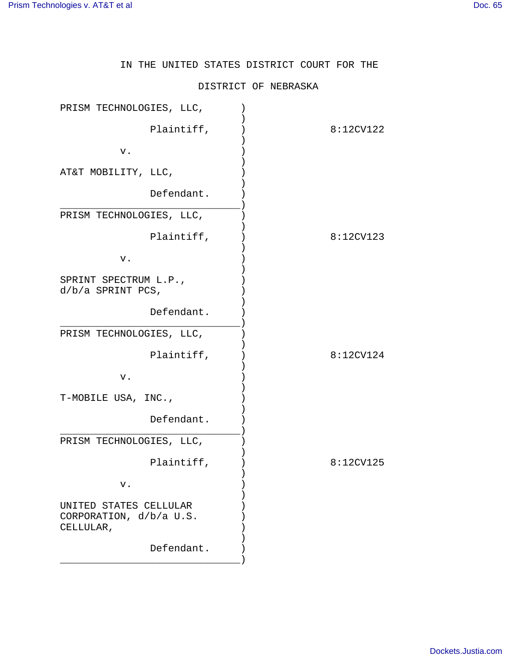IN THE UNITED STATES DISTRICT COURT FOR THE

## DISTRICT OF NEBRASKA

| PRISM TECHNOLOGIES, LLC,                                       |           |
|----------------------------------------------------------------|-----------|
| Plaintiff,                                                     | 8:12CV122 |
| v.                                                             |           |
| AT&T MOBILITY, LLC,                                            |           |
| Defendant.                                                     |           |
| PRISM TECHNOLOGIES, LLC,                                       |           |
| Plaintiff,                                                     | 8:12CV123 |
| v.                                                             |           |
| SPRINT SPECTRUM L.P.,<br>$d/b/a$ SPRINT PCS,                   |           |
| Defendant.                                                     |           |
| PRISM TECHNOLOGIES, LLC,                                       |           |
| Plaintiff,                                                     | 8:12CV124 |
| v.                                                             |           |
| T-MOBILE USA, INC.,                                            |           |
| Defendant.                                                     |           |
| PRISM TECHNOLOGIES, LLC,                                       |           |
| Plaintiff,                                                     | 8:12CV125 |
| ν.                                                             |           |
| UNITED STATES CELLULAR<br>CORPORATION, d/b/a U.S.<br>CELLULAR, |           |
| Defendant.                                                     |           |